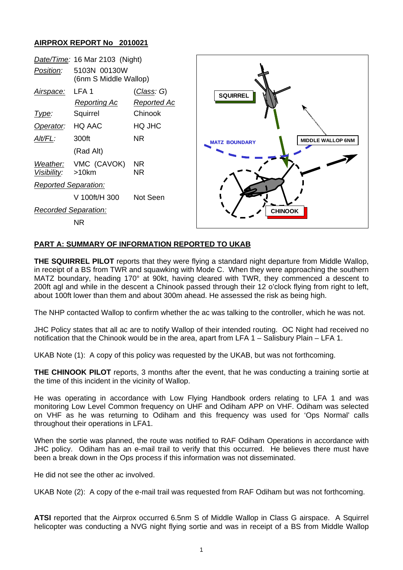## **AIRPROX REPORT No 2010021**



## **PART A: SUMMARY OF INFORMATION REPORTED TO UKAB**

**THE SQUIRREL PILOT** reports that they were flying a standard night departure from Middle Wallop, in receipt of a BS from TWR and squawking with Mode C. When they were approaching the southern MATZ boundary, heading 170° at 90kt, having cleared with TWR, they commenced a descent to 200ft agl and while in the descent a Chinook passed through their 12 o'clock flying from right to left, about 100ft lower than them and about 300m ahead. He assessed the risk as being high.

The NHP contacted Wallop to confirm whether the ac was talking to the controller, which he was not.

JHC Policy states that all ac are to notify Wallop of their intended routing. OC Night had received no notification that the Chinook would be in the area, apart from LFA 1 – Salisbury Plain – LFA 1.

UKAB Note (1): A copy of this policy was requested by the UKAB, but was not forthcoming.

**THE CHINOOK PILOT** reports, 3 months after the event, that he was conducting a training sortie at the time of this incident in the vicinity of Wallop.

He was operating in accordance with Low Flying Handbook orders relating to LFA 1 and was monitoring Low Level Common frequency on UHF and Odiham APP on VHF. Odiham was selected on VHF as he was returning to Odiham and this frequency was used for 'Ops Normal' calls throughout their operations in LFA1.

When the sortie was planned, the route was notified to RAF Odiham Operations in accordance with JHC policy. Odiham has an e-mail trail to verify that this occurred. He believes there must have been a break down in the Ops process if this information was not disseminated.

He did not see the other ac involved.

UKAB Note (2): A copy of the e-mail trail was requested from RAF Odiham but was not forthcoming.

**ATSI** reported that the Airprox occurred 6.5nm S of Middle Wallop in Class G airspace. A Squirrel helicopter was conducting a NVG night flying sortie and was in receipt of a BS from Middle Wallop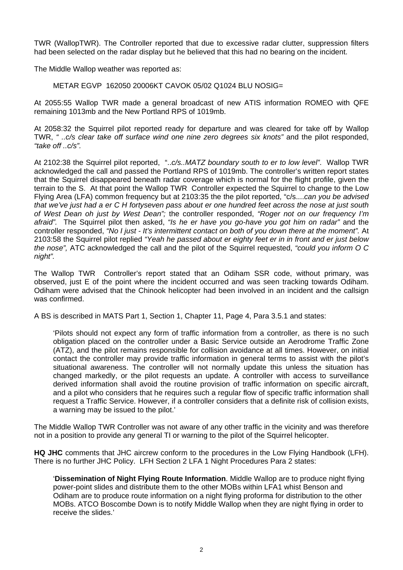TWR (WallopTWR). The Controller reported that due to excessive radar clutter, suppression filters had been selected on the radar display but he believed that this had no bearing on the incident.

The Middle Wallop weather was reported as:

METAR EGVP 162050 20006KT CAVOK 05/02 Q1024 BLU NOSIG=

At 2055:55 Wallop TWR made a general broadcast of new ATIS information ROMEO with QFE remaining 1013mb and the New Portland RPS of 1019mb.

At 2058:32 the Squirrel pilot reported ready for departure and was cleared for take off by Wallop TWR, *" ..c/s clear take off surface wind one nine zero degrees six knots"* and the pilot responded, *"take off ..c/s".* 

At 2102:38 the Squirrel pilot reported, "..*c/s..MATZ boundary south to er to low level"*. Wallop TWR acknowledged the call and passed the Portland RPS of 1019mb. The controller's written report states that the Squirrel disappeared beneath radar coverage which is normal for the flight profile, given the terrain to the S. At that point the Wallop TWR Controller expected the Squirrel to change to the Low Flying Area (LFA) common frequency but at 2103:35 the the pilot reported, "c/s....*can you be advised that we've just had a er C H fortyseven pass about er one hundred feet across the nose at just south of West Dean oh just by West Dean";* the controller responded, *"Roger not on our frequency I'm afraid".* The Squirrel pilot then asked, *"Is he er have you go-have you got him on radar"* and the controller responded, *"No I just - It's intermittent contact on both of you down there at the moment".* At 2103:58 the Squirrel pilot replied *"Yeah he passed about er eighty feet er in in front and er just below the nose",* ATC acknowledged the call and the pilot of the Squirrel requested, *"could you inform O C night".* 

The Wallop TWR Controller's report stated that an Odiham SSR code, without primary, was observed, just E of the point where the incident occurred and was seen tracking towards Odiham. Odiham were advised that the Chinook helicopter had been involved in an incident and the callsign was confirmed.

A BS is described in MATS Part 1, Section 1, Chapter 11, Page 4, Para 3.5.1 and states:

'Pilots should not expect any form of traffic information from a controller, as there is no such obligation placed on the controller under a Basic Service outside an Aerodrome Traffic Zone (ATZ), and the pilot remains responsible for collision avoidance at all times. However, on initial contact the controller may provide traffic information in general terms to assist with the pilot's situational awareness. The controller will not normally update this unless the situation has changed markedly, or the pilot requests an update. A controller with access to surveillance derived information shall avoid the routine provision of traffic information on specific aircraft, and a pilot who considers that he requires such a regular flow of specific traffic information shall request a Traffic Service. However, if a controller considers that a definite risk of collision exists, a warning may be issued to the pilot.'

The Middle Wallop TWR Controller was not aware of any other traffic in the vicinity and was therefore not in a position to provide any general TI or warning to the pilot of the Squirrel helicopter.

**HQ JHC** comments that JHC aircrew conform to the procedures in the Low Flying Handbook (LFH). There is no further JHC Policy. LFH Section 2 LFA 1 Night Procedures Para 2 states:

'**Dissemination of Night Flying Route Information**. Middle Wallop are to produce night flying power-point slides and distribute them to the other MOBs within LFA1 whist Benson and Odiham are to produce route information on a night flying proforma for distribution to the other MOBs. ATCO Boscombe Down is to notify Middle Wallop when they are night flying in order to receive the slides.'